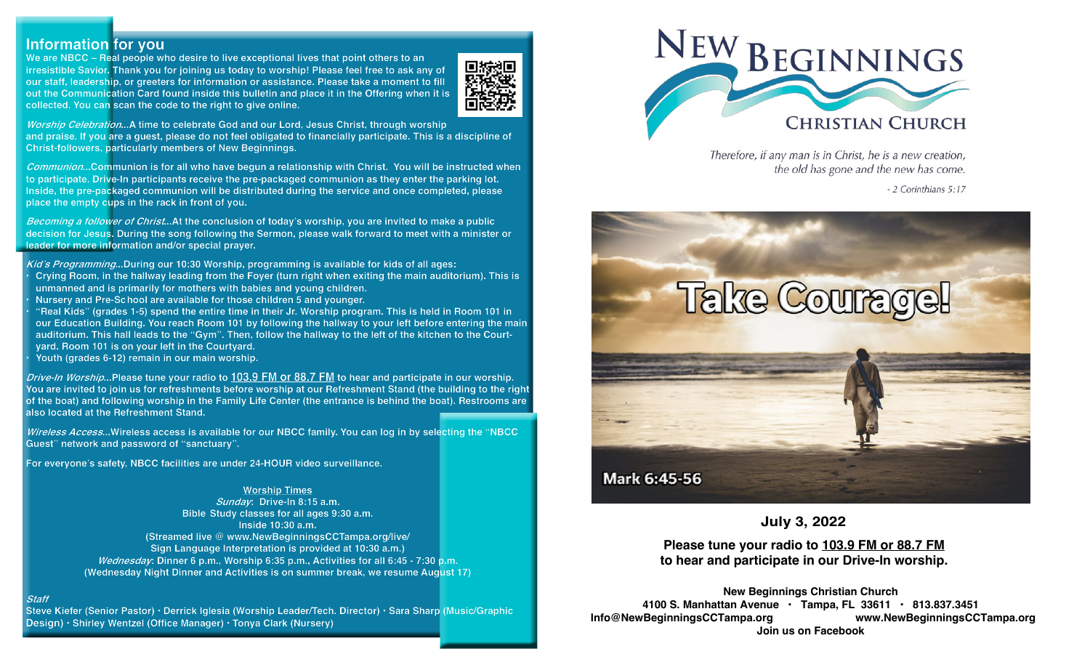#### **Information for you**

**We are NBCC – Real people who desire to live exceptional lives that point others to an irresistible Savior. Thank you for joining us today to worship! Please feel free to ask any of our staff, leadership, or greeters for information or assistance. Please take a moment to fill out the Communication Card found inside this bulletin and place it in the Offering when it is collected. You can scan the code to the right to give online.**



**Worship Celebration...A time to celebrate God and our Lord, Jesus Christ, through worship and praise. If you are a guest, please do not feel obligated to financially participate. This is a discipline of Christ-followers, particularly members of New Beginnings.** 

**Communion...Communion is for all who have begun a relationship with Christ. You will be instructed when to participate. Drive-In participants receive the pre-packaged communion as they enter the parking lot. Inside, the pre-packaged communion will be distributed during the service and once completed, please place the empty cups in the rack in front of you.**

**Becoming a follower of Christ...At the conclusion of today's worship, you are invited to make a public decision for Jesus. During the song following the Sermon, please walk forward to meet with a minister or leader for more information and/or special prayer.**

- **Kid's Programming...During our 10:30 Worship, programming is available for kids of all ages:**
- **• Crying Room, in the hallway leading from the Foyer (turn right when exiting the main auditorium). This is unmanned and is primarily for mothers with babies and young children.**
- **• Nursery and Pre-School are available for those children 5 and younger.**
- **• "Real Kids" (grades 1-5) spend the entire time in their Jr. Worship program. This is held in Room 101 in our Education Building. You reach Room 101 by following the hallway to your left before entering the main auditorium. This hall leads to the "Gym". Then, follow the hallway to the left of the kitchen to the Courtyard. Room 101 is on your left in the Courtyard.**
- **• Youth (grades 6-12) remain in our main worship.**

**Drive-In Worship...Please tune your radio to 103.9 FM or 88.7 FM to hear and participate in our worship. You are invited to join us for refreshments before worship at our Refreshment Stand (the building to the right of the boat) and following worship in the Family Life Center (the entrance is behind the boat). Restrooms are also located at the Refreshment Stand.**

**Wireless Access...Wireless access is available for our NBCC family. You can log in by selecting the "NBCC Guest" network and password of "sanctuary".**

**For everyone's safety, NBCC facilities are under 24-HOUR video surveillance.**

**Worship Times Sunday: Drive-In 8:15 a.m. Bible Study classes for all ages 9:30 a.m. Inside 10:30 a.m. (Streamed live @ www.NewBeginningsCCTampa.org/live/ Sign Language Interpretation is provided at 10:30 a.m.) Wednesday: Dinner 6 p.m., Worship 6:35 p.m., Activities for all 6:45 - 7:30 p.m. (Wednesday Night Dinner and Activities is on summer break, we resume August 17)**

**Staff** 

**Steve Kiefer (Senior Pastor) • Derrick Iglesia (Worship Leader/Tech. Director) • Sara Sharp (Music/Graphic Design) • Shirley Wentzel (Office Manager) • Tonya Clark (Nursery)**



Therefore, if any man is in Christ, he is a new creation, the old has gone and the new has come.

- 2 Corinthians 5:17



**July 3, 2022**

**Please tune your radio to 103.9 FM or 88.7 FM to hear and participate in our Drive-In worship.** 

**New Beginnings Christian Church 4100 S. Manhattan Avenue • Tampa, FL 33611 • 813.837.3451 Info@NewBeginningsCCTampa.org www.NewBeginningsCCTampa.org Join us on Facebook**